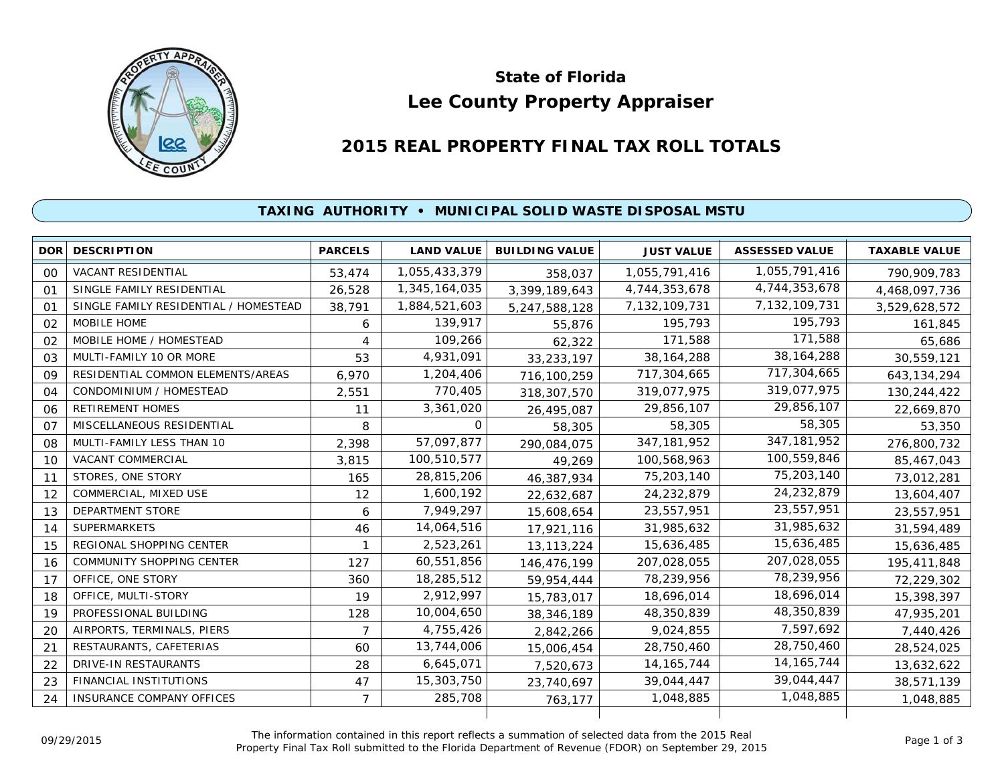

# **Lee County Property Appraiser State of Florida**

# **2015 REAL PROPERTY FINAL TAX ROLL TOTALS**

## **TAXING AUTHORITY • MUNICIPAL SOLID WASTE DISPOSAL MSTU**

|        | <b>DOR DESCRIPTION</b>                | <b>PARCELS</b> | <b>LAND VALUE</b> | <b>BUILDING VALUE</b> | <b>JUST VALUE</b> | <b>ASSESSED VALUE</b> | <b>TAXABLE VALUE</b> |
|--------|---------------------------------------|----------------|-------------------|-----------------------|-------------------|-----------------------|----------------------|
| $00\,$ | <b>VACANT RESIDENTIAL</b>             | 53,474         | 1,055,433,379     | 358,037               | 1,055,791,416     | 1,055,791,416         | 790,909,783          |
| 01     | SINGLE FAMILY RESIDENTIAL             | 26,528         | 1,345,164,035     | 3,399,189,643         | 4,744,353,678     | 4,744,353,678         | 4,468,097,736        |
| 01     | SINGLE FAMILY RESIDENTIAL / HOMESTEAD | 38,791         | 1,884,521,603     | 5,247,588,128         | 7, 132, 109, 731  | 7,132,109,731         | 3,529,628,572        |
| 02     | MOBILE HOME                           | 6              | 139,917           | 55,876                | 195,793           | 195,793               | 161,845              |
| 02     | MOBILE HOME / HOMESTEAD               | 4              | 109,266           | 62,322                | 171,588           | 171,588               | 65,686               |
| 03     | MULTI-FAMILY 10 OR MORE               | 53             | 4,931,091         | 33,233,197            | 38, 164, 288      | 38, 164, 288          | 30,559,121           |
| 09     | RESIDENTIAL COMMON ELEMENTS/AREAS     | 6,970          | 1,204,406         | 716,100,259           | 717,304,665       | 717,304,665           | 643, 134, 294        |
| 04     | CONDOMINIUM / HOMESTEAD               | 2,551          | 770,405           | 318,307,570           | 319,077,975       | 319,077,975           | 130,244,422          |
| 06     | <b>RETIREMENT HOMES</b>               | 11             | 3,361,020         | 26,495,087            | 29,856,107        | 29,856,107            | 22,669,870           |
| 07     | MISCELLANEOUS RESIDENTIAL             | 8              | 0                 | 58,305                | 58,305            | 58,305                | 53,350               |
| 08     | MULTI-FAMILY LESS THAN 10             | 2,398          | 57,097,877        | 290,084,075           | 347, 181, 952     | 347, 181, 952         | 276,800,732          |
| 10     | VACANT COMMERCIAL                     | 3,815          | 100,510,577       | 49,269                | 100,568,963       | 100,559,846           | 85,467,043           |
| 11     | STORES, ONE STORY                     | 165            | 28,815,206        | 46,387,934            | 75,203,140        | 75,203,140            | 73,012,281           |
| 12     | COMMERCIAL, MIXED USE                 | 12             | 1,600,192         | 22,632,687            | 24,232,879        | 24,232,879            | 13,604,407           |
| 13     | DEPARTMENT STORE                      | 6              | 7,949,297         | 15,608,654            | 23,557,951        | 23,557,951            | 23,557,951           |
| 14     | <b>SUPERMARKETS</b>                   | 46             | 14,064,516        | 17,921,116            | 31,985,632        | 31,985,632            | 31,594,489           |
| 15     | REGIONAL SHOPPING CENTER              |                | 2,523,261         | 13, 113, 224          | 15,636,485        | 15,636,485            | 15,636,485           |
| 16     | <b>COMMUNITY SHOPPING CENTER</b>      | 127            | 60,551,856        | 146,476,199           | 207,028,055       | 207,028,055           | 195,411,848          |
| 17     | OFFICE, ONE STORY                     | 360            | 18,285,512        | 59,954,444            | 78,239,956        | 78,239,956            | 72,229,302           |
| 18     | OFFICE, MULTI-STORY                   | 19             | 2,912,997         | 15,783,017            | 18,696,014        | 18,696,014            | 15,398,397           |
| 19     | PROFESSIONAL BUILDING                 | 128            | 10,004,650        | 38, 346, 189          | 48,350,839        | 48,350,839            | 47,935,201           |
| 20     | AIRPORTS, TERMINALS, PIERS            | 7              | 4,755,426         | 2,842,266             | 9,024,855         | 7,597,692             | 7,440,426            |
| 21     | RESTAURANTS, CAFETERIAS               | 60             | 13,744,006        | 15,006,454            | 28,750,460        | 28,750,460            | 28,524,025           |
| 22     | <b>DRIVE-IN RESTAURANTS</b>           | 28             | 6,645,071         | 7,520,673             | 14, 165, 744      | 14, 165, 744          | 13,632,622           |
| 23     | FINANCIAL INSTITUTIONS                | 47             | 15,303,750        | 23,740,697            | 39,044,447        | 39,044,447            | 38,571,139           |
| 24     | <b>INSURANCE COMPANY OFFICES</b>      | $\overline{7}$ | 285,708           | 763,177               | 1,048,885         | 1,048,885             | 1,048,885            |
|        |                                       |                |                   |                       |                   |                       |                      |

The information contained in this report reflects a summation of selected data from the 2015 Real Ine information contained in this report reflects a summation of selected data from the 2015 Real<br>Property Final Tax Roll submitted to the Florida Department of Revenue (FDOR) on September 29, 2015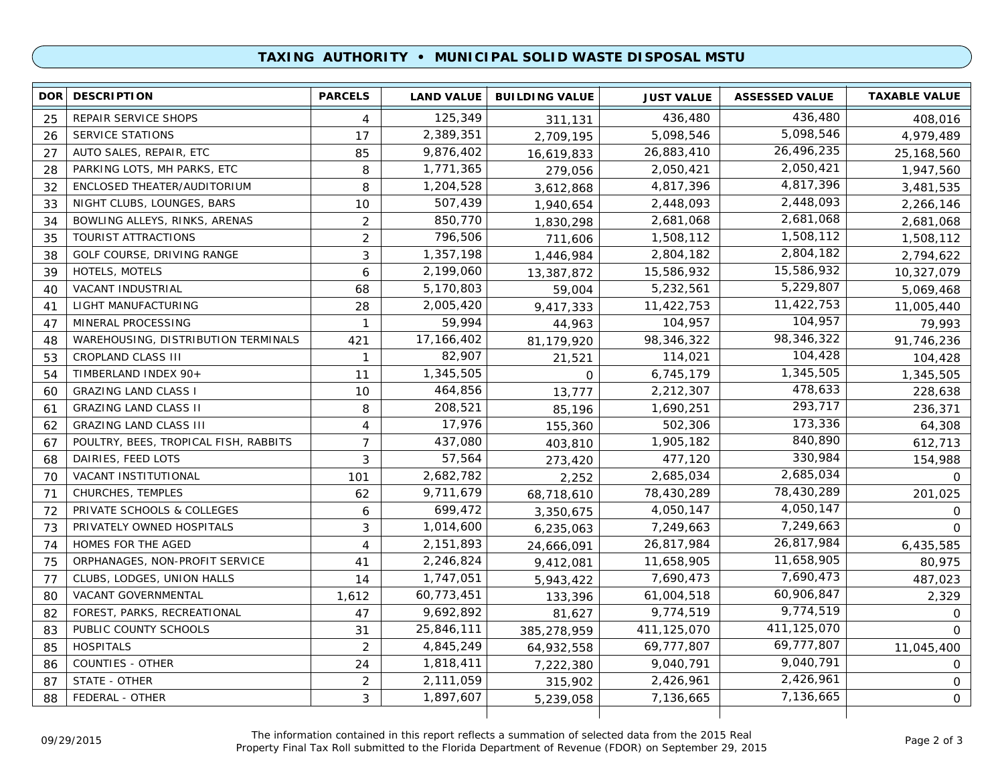### **TAXING AUTHORITY • MUNICIPAL SOLID WASTE DISPOSAL MSTU**

| 436,480<br>125,349<br>REPAIR SERVICE SHOPS<br>436,480<br>25<br>4<br>311,131<br>408,016<br>5,098,546<br>2,389,351<br>5,098,546<br><b>SERVICE STATIONS</b><br>17<br>4,979,489<br>26<br>2,709,195<br>26,496,235<br>9,876,402<br>26,883,410<br>27<br>AUTO SALES, REPAIR, ETC<br>85<br>25,168,560<br>16,619,833<br>2,050,421<br>1,771,365<br>PARKING LOTS, MH PARKS, ETC<br>2,050,421<br>8<br>28<br>1,947,560<br>279,056<br>4,817,396<br>1,204,528<br>ENCLOSED THEATER/AUDITORIUM<br>4,817,396<br>8<br>32<br>3,612,868<br>3,481,535<br>2,448,093<br>507,439<br>NIGHT CLUBS, LOUNGES, BARS<br>2,448,093<br>10<br>33<br>1,940,654<br>2,266,146<br>2,681,068<br>850,770<br>BOWLING ALLEYS, RINKS, ARENAS<br>$\overline{2}$<br>2,681,068<br>34<br>1,830,298<br>2,681,068<br>1,508,112<br>796,506<br>TOURIST ATTRACTIONS<br>$\overline{2}$<br>1,508,112<br>35<br>1,508,112<br>711,606<br>2,804,182<br>3<br>1,357,198<br>2,804,182<br>GOLF COURSE, DRIVING RANGE<br>38<br>1,446,984<br>2,794,622<br>15,586,932<br>15,586,932<br>HOTELS, MOTELS<br>6<br>2,199,060<br>39<br>13,387,872<br>10,327,079<br>5,229,807<br>5,232,561<br>5,170,803<br>VACANT INDUSTRIAL<br>68<br>40<br>5,069,468<br>59,004<br>11,422,753<br>2,005,420<br>LIGHT MANUFACTURING<br>11,422,753<br>28<br>41<br>9,417,333<br>11,005,440<br>104,957<br>MINERAL PROCESSING<br>59,994<br>104,957<br>47<br>$\mathbf{1}$<br>79,993<br>44,963<br>98,346,322<br>17,166,402<br>WAREHOUSING, DISTRIBUTION TERMINALS<br>98,346,322<br>421<br>81,179,920<br>91,746,236<br>48<br>104,428<br>82,907<br>CROPLAND CLASS III<br>114,021<br>53<br>$\mathbf{1}$<br>104,428<br>21,521<br>1,345,505<br>1,345,505<br>TIMBERLAND INDEX 90+<br>11<br>6,745,179<br>54<br>1,345,505<br>0<br>478,633<br>464,856<br><b>GRAZING LAND CLASS I</b><br>10<br>2,212,307<br>60<br>228,638<br>13,777<br>293,717<br>208,521<br>1,690,251<br><b>GRAZING LAND CLASS II</b><br>8<br>61<br>236,371<br>85,196<br>173,336<br>17,976<br>502,306<br><b>GRAZING LAND CLASS III</b><br>4<br>155,360<br>64,308<br>62<br>840,890<br>437,080<br>1,905,182<br>POULTRY, BEES, TROPICAL FISH, RABBITS<br>$\overline{7}$<br>67<br>612,713<br>403,810<br>330,984<br>57,564<br>DAIRIES, FEED LOTS<br>477,120<br>3<br>68<br>273,420<br>154,988<br>2,685,034<br>2,682,782<br>VACANT INSTITUTIONAL<br>2,685,034<br>70<br>101<br>2,252<br>$\Omega$<br>78,430,289<br>9,711,679<br>CHURCHES, TEMPLES<br>78,430,289<br>62<br>71<br>68,718,610<br>201,025<br>4,050,147<br>699,472<br>72<br>PRIVATE SCHOOLS & COLLEGES<br>4,050,147<br>6<br>3,350,675<br>$\circ$<br>7,249,663<br>1,014,600<br>7,249,663<br>73<br>PRIVATELY OWNED HOSPITALS<br>3<br>6,235,063<br>$\circ$<br>26,817,984<br>2,151,893<br>26,817,984<br>74<br>HOMES FOR THE AGED<br>4<br>6,435,585<br>24,666,091<br>11,658,905<br>2,246,824<br>ORPHANAGES, NON-PROFIT SERVICE<br>11,658,905<br>75<br>80,975<br>41<br>9,412,081<br>7,690,473<br>1,747,051<br>CLUBS, LODGES, UNION HALLS<br>7,690,473<br>77<br>14<br>5,943,422<br>487,023<br>60,906,847<br>60,773,451<br>VACANT GOVERNMENTAL<br>1,612<br>61,004,518<br>2,329<br>80<br>133,396<br>9,774,519<br>9,692,892<br>FOREST, PARKS, RECREATIONAL<br>9,774,519<br>82<br>47<br>81,627<br>$\circ$<br>411,125,070<br>25,846,111<br>PUBLIC COUNTY SCHOOLS<br>411,125,070<br>83<br>31<br>385,278,959<br>$\Omega$<br>69,777,807<br>4,845,249<br>69,777,807<br><b>HOSPITALS</b><br>2<br>85<br>64,932,558<br>11,045,400<br>9,040,791<br>1,818,411<br>9,040,791<br><b>COUNTIES - OTHER</b><br>24<br>86<br>7,222,380<br>$\circ$<br>2,426,961<br>STATE - OTHER<br>2,111,059<br>2,426,961<br>2<br>87<br>315,902<br>0<br>7,136,665<br>FEDERAL - OTHER<br>1,897,607<br>3<br>7,136,665<br>$\mathbf{O}$<br>88<br>5,239,058 | <b>DOR</b> | <b>DESCRIPTION</b> | <b>PARCELS</b> | <b>LAND VALUE</b> | <b>BUILDING VALUE</b> | <b>JUST VALUE</b> | <b>ASSESSED VALUE</b> | <b>TAXABLE VALUE</b> |
|------------------------------------------------------------------------------------------------------------------------------------------------------------------------------------------------------------------------------------------------------------------------------------------------------------------------------------------------------------------------------------------------------------------------------------------------------------------------------------------------------------------------------------------------------------------------------------------------------------------------------------------------------------------------------------------------------------------------------------------------------------------------------------------------------------------------------------------------------------------------------------------------------------------------------------------------------------------------------------------------------------------------------------------------------------------------------------------------------------------------------------------------------------------------------------------------------------------------------------------------------------------------------------------------------------------------------------------------------------------------------------------------------------------------------------------------------------------------------------------------------------------------------------------------------------------------------------------------------------------------------------------------------------------------------------------------------------------------------------------------------------------------------------------------------------------------------------------------------------------------------------------------------------------------------------------------------------------------------------------------------------------------------------------------------------------------------------------------------------------------------------------------------------------------------------------------------------------------------------------------------------------------------------------------------------------------------------------------------------------------------------------------------------------------------------------------------------------------------------------------------------------------------------------------------------------------------------------------------------------------------------------------------------------------------------------------------------------------------------------------------------------------------------------------------------------------------------------------------------------------------------------------------------------------------------------------------------------------------------------------------------------------------------------------------------------------------------------------------------------------------------------------------------------------------------------------------------------------------------------------------------------------------------------------------------------------------------------------------------------------------------------------------------------------------------------------------------------------------------------------------------------------------------------------------------------------------------------------------------------------------------------------------------------------------------------------------------------|------------|--------------------|----------------|-------------------|-----------------------|-------------------|-----------------------|----------------------|
|                                                                                                                                                                                                                                                                                                                                                                                                                                                                                                                                                                                                                                                                                                                                                                                                                                                                                                                                                                                                                                                                                                                                                                                                                                                                                                                                                                                                                                                                                                                                                                                                                                                                                                                                                                                                                                                                                                                                                                                                                                                                                                                                                                                                                                                                                                                                                                                                                                                                                                                                                                                                                                                                                                                                                                                                                                                                                                                                                                                                                                                                                                                                                                                                                                                                                                                                                                                                                                                                                                                                                                                                                                                                                                                  |            |                    |                |                   |                       |                   |                       |                      |
|                                                                                                                                                                                                                                                                                                                                                                                                                                                                                                                                                                                                                                                                                                                                                                                                                                                                                                                                                                                                                                                                                                                                                                                                                                                                                                                                                                                                                                                                                                                                                                                                                                                                                                                                                                                                                                                                                                                                                                                                                                                                                                                                                                                                                                                                                                                                                                                                                                                                                                                                                                                                                                                                                                                                                                                                                                                                                                                                                                                                                                                                                                                                                                                                                                                                                                                                                                                                                                                                                                                                                                                                                                                                                                                  |            |                    |                |                   |                       |                   |                       |                      |
|                                                                                                                                                                                                                                                                                                                                                                                                                                                                                                                                                                                                                                                                                                                                                                                                                                                                                                                                                                                                                                                                                                                                                                                                                                                                                                                                                                                                                                                                                                                                                                                                                                                                                                                                                                                                                                                                                                                                                                                                                                                                                                                                                                                                                                                                                                                                                                                                                                                                                                                                                                                                                                                                                                                                                                                                                                                                                                                                                                                                                                                                                                                                                                                                                                                                                                                                                                                                                                                                                                                                                                                                                                                                                                                  |            |                    |                |                   |                       |                   |                       |                      |
|                                                                                                                                                                                                                                                                                                                                                                                                                                                                                                                                                                                                                                                                                                                                                                                                                                                                                                                                                                                                                                                                                                                                                                                                                                                                                                                                                                                                                                                                                                                                                                                                                                                                                                                                                                                                                                                                                                                                                                                                                                                                                                                                                                                                                                                                                                                                                                                                                                                                                                                                                                                                                                                                                                                                                                                                                                                                                                                                                                                                                                                                                                                                                                                                                                                                                                                                                                                                                                                                                                                                                                                                                                                                                                                  |            |                    |                |                   |                       |                   |                       |                      |
|                                                                                                                                                                                                                                                                                                                                                                                                                                                                                                                                                                                                                                                                                                                                                                                                                                                                                                                                                                                                                                                                                                                                                                                                                                                                                                                                                                                                                                                                                                                                                                                                                                                                                                                                                                                                                                                                                                                                                                                                                                                                                                                                                                                                                                                                                                                                                                                                                                                                                                                                                                                                                                                                                                                                                                                                                                                                                                                                                                                                                                                                                                                                                                                                                                                                                                                                                                                                                                                                                                                                                                                                                                                                                                                  |            |                    |                |                   |                       |                   |                       |                      |
|                                                                                                                                                                                                                                                                                                                                                                                                                                                                                                                                                                                                                                                                                                                                                                                                                                                                                                                                                                                                                                                                                                                                                                                                                                                                                                                                                                                                                                                                                                                                                                                                                                                                                                                                                                                                                                                                                                                                                                                                                                                                                                                                                                                                                                                                                                                                                                                                                                                                                                                                                                                                                                                                                                                                                                                                                                                                                                                                                                                                                                                                                                                                                                                                                                                                                                                                                                                                                                                                                                                                                                                                                                                                                                                  |            |                    |                |                   |                       |                   |                       |                      |
|                                                                                                                                                                                                                                                                                                                                                                                                                                                                                                                                                                                                                                                                                                                                                                                                                                                                                                                                                                                                                                                                                                                                                                                                                                                                                                                                                                                                                                                                                                                                                                                                                                                                                                                                                                                                                                                                                                                                                                                                                                                                                                                                                                                                                                                                                                                                                                                                                                                                                                                                                                                                                                                                                                                                                                                                                                                                                                                                                                                                                                                                                                                                                                                                                                                                                                                                                                                                                                                                                                                                                                                                                                                                                                                  |            |                    |                |                   |                       |                   |                       |                      |
|                                                                                                                                                                                                                                                                                                                                                                                                                                                                                                                                                                                                                                                                                                                                                                                                                                                                                                                                                                                                                                                                                                                                                                                                                                                                                                                                                                                                                                                                                                                                                                                                                                                                                                                                                                                                                                                                                                                                                                                                                                                                                                                                                                                                                                                                                                                                                                                                                                                                                                                                                                                                                                                                                                                                                                                                                                                                                                                                                                                                                                                                                                                                                                                                                                                                                                                                                                                                                                                                                                                                                                                                                                                                                                                  |            |                    |                |                   |                       |                   |                       |                      |
|                                                                                                                                                                                                                                                                                                                                                                                                                                                                                                                                                                                                                                                                                                                                                                                                                                                                                                                                                                                                                                                                                                                                                                                                                                                                                                                                                                                                                                                                                                                                                                                                                                                                                                                                                                                                                                                                                                                                                                                                                                                                                                                                                                                                                                                                                                                                                                                                                                                                                                                                                                                                                                                                                                                                                                                                                                                                                                                                                                                                                                                                                                                                                                                                                                                                                                                                                                                                                                                                                                                                                                                                                                                                                                                  |            |                    |                |                   |                       |                   |                       |                      |
|                                                                                                                                                                                                                                                                                                                                                                                                                                                                                                                                                                                                                                                                                                                                                                                                                                                                                                                                                                                                                                                                                                                                                                                                                                                                                                                                                                                                                                                                                                                                                                                                                                                                                                                                                                                                                                                                                                                                                                                                                                                                                                                                                                                                                                                                                                                                                                                                                                                                                                                                                                                                                                                                                                                                                                                                                                                                                                                                                                                                                                                                                                                                                                                                                                                                                                                                                                                                                                                                                                                                                                                                                                                                                                                  |            |                    |                |                   |                       |                   |                       |                      |
|                                                                                                                                                                                                                                                                                                                                                                                                                                                                                                                                                                                                                                                                                                                                                                                                                                                                                                                                                                                                                                                                                                                                                                                                                                                                                                                                                                                                                                                                                                                                                                                                                                                                                                                                                                                                                                                                                                                                                                                                                                                                                                                                                                                                                                                                                                                                                                                                                                                                                                                                                                                                                                                                                                                                                                                                                                                                                                                                                                                                                                                                                                                                                                                                                                                                                                                                                                                                                                                                                                                                                                                                                                                                                                                  |            |                    |                |                   |                       |                   |                       |                      |
|                                                                                                                                                                                                                                                                                                                                                                                                                                                                                                                                                                                                                                                                                                                                                                                                                                                                                                                                                                                                                                                                                                                                                                                                                                                                                                                                                                                                                                                                                                                                                                                                                                                                                                                                                                                                                                                                                                                                                                                                                                                                                                                                                                                                                                                                                                                                                                                                                                                                                                                                                                                                                                                                                                                                                                                                                                                                                                                                                                                                                                                                                                                                                                                                                                                                                                                                                                                                                                                                                                                                                                                                                                                                                                                  |            |                    |                |                   |                       |                   |                       |                      |
|                                                                                                                                                                                                                                                                                                                                                                                                                                                                                                                                                                                                                                                                                                                                                                                                                                                                                                                                                                                                                                                                                                                                                                                                                                                                                                                                                                                                                                                                                                                                                                                                                                                                                                                                                                                                                                                                                                                                                                                                                                                                                                                                                                                                                                                                                                                                                                                                                                                                                                                                                                                                                                                                                                                                                                                                                                                                                                                                                                                                                                                                                                                                                                                                                                                                                                                                                                                                                                                                                                                                                                                                                                                                                                                  |            |                    |                |                   |                       |                   |                       |                      |
|                                                                                                                                                                                                                                                                                                                                                                                                                                                                                                                                                                                                                                                                                                                                                                                                                                                                                                                                                                                                                                                                                                                                                                                                                                                                                                                                                                                                                                                                                                                                                                                                                                                                                                                                                                                                                                                                                                                                                                                                                                                                                                                                                                                                                                                                                                                                                                                                                                                                                                                                                                                                                                                                                                                                                                                                                                                                                                                                                                                                                                                                                                                                                                                                                                                                                                                                                                                                                                                                                                                                                                                                                                                                                                                  |            |                    |                |                   |                       |                   |                       |                      |
|                                                                                                                                                                                                                                                                                                                                                                                                                                                                                                                                                                                                                                                                                                                                                                                                                                                                                                                                                                                                                                                                                                                                                                                                                                                                                                                                                                                                                                                                                                                                                                                                                                                                                                                                                                                                                                                                                                                                                                                                                                                                                                                                                                                                                                                                                                                                                                                                                                                                                                                                                                                                                                                                                                                                                                                                                                                                                                                                                                                                                                                                                                                                                                                                                                                                                                                                                                                                                                                                                                                                                                                                                                                                                                                  |            |                    |                |                   |                       |                   |                       |                      |
|                                                                                                                                                                                                                                                                                                                                                                                                                                                                                                                                                                                                                                                                                                                                                                                                                                                                                                                                                                                                                                                                                                                                                                                                                                                                                                                                                                                                                                                                                                                                                                                                                                                                                                                                                                                                                                                                                                                                                                                                                                                                                                                                                                                                                                                                                                                                                                                                                                                                                                                                                                                                                                                                                                                                                                                                                                                                                                                                                                                                                                                                                                                                                                                                                                                                                                                                                                                                                                                                                                                                                                                                                                                                                                                  |            |                    |                |                   |                       |                   |                       |                      |
|                                                                                                                                                                                                                                                                                                                                                                                                                                                                                                                                                                                                                                                                                                                                                                                                                                                                                                                                                                                                                                                                                                                                                                                                                                                                                                                                                                                                                                                                                                                                                                                                                                                                                                                                                                                                                                                                                                                                                                                                                                                                                                                                                                                                                                                                                                                                                                                                                                                                                                                                                                                                                                                                                                                                                                                                                                                                                                                                                                                                                                                                                                                                                                                                                                                                                                                                                                                                                                                                                                                                                                                                                                                                                                                  |            |                    |                |                   |                       |                   |                       |                      |
|                                                                                                                                                                                                                                                                                                                                                                                                                                                                                                                                                                                                                                                                                                                                                                                                                                                                                                                                                                                                                                                                                                                                                                                                                                                                                                                                                                                                                                                                                                                                                                                                                                                                                                                                                                                                                                                                                                                                                                                                                                                                                                                                                                                                                                                                                                                                                                                                                                                                                                                                                                                                                                                                                                                                                                                                                                                                                                                                                                                                                                                                                                                                                                                                                                                                                                                                                                                                                                                                                                                                                                                                                                                                                                                  |            |                    |                |                   |                       |                   |                       |                      |
|                                                                                                                                                                                                                                                                                                                                                                                                                                                                                                                                                                                                                                                                                                                                                                                                                                                                                                                                                                                                                                                                                                                                                                                                                                                                                                                                                                                                                                                                                                                                                                                                                                                                                                                                                                                                                                                                                                                                                                                                                                                                                                                                                                                                                                                                                                                                                                                                                                                                                                                                                                                                                                                                                                                                                                                                                                                                                                                                                                                                                                                                                                                                                                                                                                                                                                                                                                                                                                                                                                                                                                                                                                                                                                                  |            |                    |                |                   |                       |                   |                       |                      |
|                                                                                                                                                                                                                                                                                                                                                                                                                                                                                                                                                                                                                                                                                                                                                                                                                                                                                                                                                                                                                                                                                                                                                                                                                                                                                                                                                                                                                                                                                                                                                                                                                                                                                                                                                                                                                                                                                                                                                                                                                                                                                                                                                                                                                                                                                                                                                                                                                                                                                                                                                                                                                                                                                                                                                                                                                                                                                                                                                                                                                                                                                                                                                                                                                                                                                                                                                                                                                                                                                                                                                                                                                                                                                                                  |            |                    |                |                   |                       |                   |                       |                      |
|                                                                                                                                                                                                                                                                                                                                                                                                                                                                                                                                                                                                                                                                                                                                                                                                                                                                                                                                                                                                                                                                                                                                                                                                                                                                                                                                                                                                                                                                                                                                                                                                                                                                                                                                                                                                                                                                                                                                                                                                                                                                                                                                                                                                                                                                                                                                                                                                                                                                                                                                                                                                                                                                                                                                                                                                                                                                                                                                                                                                                                                                                                                                                                                                                                                                                                                                                                                                                                                                                                                                                                                                                                                                                                                  |            |                    |                |                   |                       |                   |                       |                      |
|                                                                                                                                                                                                                                                                                                                                                                                                                                                                                                                                                                                                                                                                                                                                                                                                                                                                                                                                                                                                                                                                                                                                                                                                                                                                                                                                                                                                                                                                                                                                                                                                                                                                                                                                                                                                                                                                                                                                                                                                                                                                                                                                                                                                                                                                                                                                                                                                                                                                                                                                                                                                                                                                                                                                                                                                                                                                                                                                                                                                                                                                                                                                                                                                                                                                                                                                                                                                                                                                                                                                                                                                                                                                                                                  |            |                    |                |                   |                       |                   |                       |                      |
|                                                                                                                                                                                                                                                                                                                                                                                                                                                                                                                                                                                                                                                                                                                                                                                                                                                                                                                                                                                                                                                                                                                                                                                                                                                                                                                                                                                                                                                                                                                                                                                                                                                                                                                                                                                                                                                                                                                                                                                                                                                                                                                                                                                                                                                                                                                                                                                                                                                                                                                                                                                                                                                                                                                                                                                                                                                                                                                                                                                                                                                                                                                                                                                                                                                                                                                                                                                                                                                                                                                                                                                                                                                                                                                  |            |                    |                |                   |                       |                   |                       |                      |
|                                                                                                                                                                                                                                                                                                                                                                                                                                                                                                                                                                                                                                                                                                                                                                                                                                                                                                                                                                                                                                                                                                                                                                                                                                                                                                                                                                                                                                                                                                                                                                                                                                                                                                                                                                                                                                                                                                                                                                                                                                                                                                                                                                                                                                                                                                                                                                                                                                                                                                                                                                                                                                                                                                                                                                                                                                                                                                                                                                                                                                                                                                                                                                                                                                                                                                                                                                                                                                                                                                                                                                                                                                                                                                                  |            |                    |                |                   |                       |                   |                       |                      |
|                                                                                                                                                                                                                                                                                                                                                                                                                                                                                                                                                                                                                                                                                                                                                                                                                                                                                                                                                                                                                                                                                                                                                                                                                                                                                                                                                                                                                                                                                                                                                                                                                                                                                                                                                                                                                                                                                                                                                                                                                                                                                                                                                                                                                                                                                                                                                                                                                                                                                                                                                                                                                                                                                                                                                                                                                                                                                                                                                                                                                                                                                                                                                                                                                                                                                                                                                                                                                                                                                                                                                                                                                                                                                                                  |            |                    |                |                   |                       |                   |                       |                      |
|                                                                                                                                                                                                                                                                                                                                                                                                                                                                                                                                                                                                                                                                                                                                                                                                                                                                                                                                                                                                                                                                                                                                                                                                                                                                                                                                                                                                                                                                                                                                                                                                                                                                                                                                                                                                                                                                                                                                                                                                                                                                                                                                                                                                                                                                                                                                                                                                                                                                                                                                                                                                                                                                                                                                                                                                                                                                                                                                                                                                                                                                                                                                                                                                                                                                                                                                                                                                                                                                                                                                                                                                                                                                                                                  |            |                    |                |                   |                       |                   |                       |                      |
|                                                                                                                                                                                                                                                                                                                                                                                                                                                                                                                                                                                                                                                                                                                                                                                                                                                                                                                                                                                                                                                                                                                                                                                                                                                                                                                                                                                                                                                                                                                                                                                                                                                                                                                                                                                                                                                                                                                                                                                                                                                                                                                                                                                                                                                                                                                                                                                                                                                                                                                                                                                                                                                                                                                                                                                                                                                                                                                                                                                                                                                                                                                                                                                                                                                                                                                                                                                                                                                                                                                                                                                                                                                                                                                  |            |                    |                |                   |                       |                   |                       |                      |
|                                                                                                                                                                                                                                                                                                                                                                                                                                                                                                                                                                                                                                                                                                                                                                                                                                                                                                                                                                                                                                                                                                                                                                                                                                                                                                                                                                                                                                                                                                                                                                                                                                                                                                                                                                                                                                                                                                                                                                                                                                                                                                                                                                                                                                                                                                                                                                                                                                                                                                                                                                                                                                                                                                                                                                                                                                                                                                                                                                                                                                                                                                                                                                                                                                                                                                                                                                                                                                                                                                                                                                                                                                                                                                                  |            |                    |                |                   |                       |                   |                       |                      |
|                                                                                                                                                                                                                                                                                                                                                                                                                                                                                                                                                                                                                                                                                                                                                                                                                                                                                                                                                                                                                                                                                                                                                                                                                                                                                                                                                                                                                                                                                                                                                                                                                                                                                                                                                                                                                                                                                                                                                                                                                                                                                                                                                                                                                                                                                                                                                                                                                                                                                                                                                                                                                                                                                                                                                                                                                                                                                                                                                                                                                                                                                                                                                                                                                                                                                                                                                                                                                                                                                                                                                                                                                                                                                                                  |            |                    |                |                   |                       |                   |                       |                      |
|                                                                                                                                                                                                                                                                                                                                                                                                                                                                                                                                                                                                                                                                                                                                                                                                                                                                                                                                                                                                                                                                                                                                                                                                                                                                                                                                                                                                                                                                                                                                                                                                                                                                                                                                                                                                                                                                                                                                                                                                                                                                                                                                                                                                                                                                                                                                                                                                                                                                                                                                                                                                                                                                                                                                                                                                                                                                                                                                                                                                                                                                                                                                                                                                                                                                                                                                                                                                                                                                                                                                                                                                                                                                                                                  |            |                    |                |                   |                       |                   |                       |                      |
|                                                                                                                                                                                                                                                                                                                                                                                                                                                                                                                                                                                                                                                                                                                                                                                                                                                                                                                                                                                                                                                                                                                                                                                                                                                                                                                                                                                                                                                                                                                                                                                                                                                                                                                                                                                                                                                                                                                                                                                                                                                                                                                                                                                                                                                                                                                                                                                                                                                                                                                                                                                                                                                                                                                                                                                                                                                                                                                                                                                                                                                                                                                                                                                                                                                                                                                                                                                                                                                                                                                                                                                                                                                                                                                  |            |                    |                |                   |                       |                   |                       |                      |
|                                                                                                                                                                                                                                                                                                                                                                                                                                                                                                                                                                                                                                                                                                                                                                                                                                                                                                                                                                                                                                                                                                                                                                                                                                                                                                                                                                                                                                                                                                                                                                                                                                                                                                                                                                                                                                                                                                                                                                                                                                                                                                                                                                                                                                                                                                                                                                                                                                                                                                                                                                                                                                                                                                                                                                                                                                                                                                                                                                                                                                                                                                                                                                                                                                                                                                                                                                                                                                                                                                                                                                                                                                                                                                                  |            |                    |                |                   |                       |                   |                       |                      |
|                                                                                                                                                                                                                                                                                                                                                                                                                                                                                                                                                                                                                                                                                                                                                                                                                                                                                                                                                                                                                                                                                                                                                                                                                                                                                                                                                                                                                                                                                                                                                                                                                                                                                                                                                                                                                                                                                                                                                                                                                                                                                                                                                                                                                                                                                                                                                                                                                                                                                                                                                                                                                                                                                                                                                                                                                                                                                                                                                                                                                                                                                                                                                                                                                                                                                                                                                                                                                                                                                                                                                                                                                                                                                                                  |            |                    |                |                   |                       |                   |                       |                      |
|                                                                                                                                                                                                                                                                                                                                                                                                                                                                                                                                                                                                                                                                                                                                                                                                                                                                                                                                                                                                                                                                                                                                                                                                                                                                                                                                                                                                                                                                                                                                                                                                                                                                                                                                                                                                                                                                                                                                                                                                                                                                                                                                                                                                                                                                                                                                                                                                                                                                                                                                                                                                                                                                                                                                                                                                                                                                                                                                                                                                                                                                                                                                                                                                                                                                                                                                                                                                                                                                                                                                                                                                                                                                                                                  |            |                    |                |                   |                       |                   |                       |                      |
|                                                                                                                                                                                                                                                                                                                                                                                                                                                                                                                                                                                                                                                                                                                                                                                                                                                                                                                                                                                                                                                                                                                                                                                                                                                                                                                                                                                                                                                                                                                                                                                                                                                                                                                                                                                                                                                                                                                                                                                                                                                                                                                                                                                                                                                                                                                                                                                                                                                                                                                                                                                                                                                                                                                                                                                                                                                                                                                                                                                                                                                                                                                                                                                                                                                                                                                                                                                                                                                                                                                                                                                                                                                                                                                  |            |                    |                |                   |                       |                   |                       |                      |